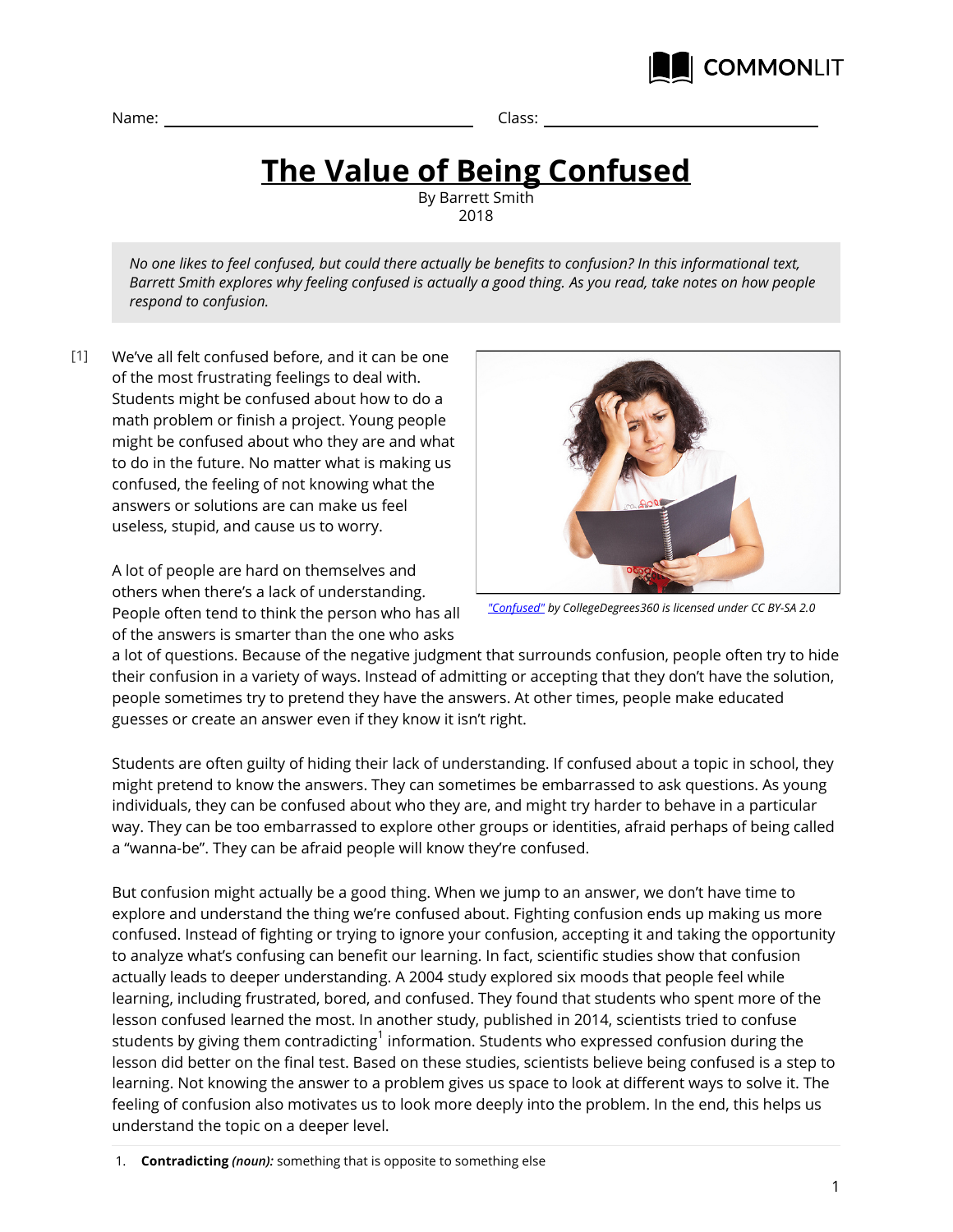

Name: Class:

## **The Value of Being Confused**

By Barrett Smith 2018

*No one likes to feel confused, but could there actually be benefits to confusion? In this informational text, Barrett Smith explores why feeling confused is actually a good thing. As you read, take notes on how people respond to confusion.*

We've all felt confused before, and it can be one of the most frustrating feelings to deal with. Students might be confused about how to do a math problem or finish a project. Young people might be confused about who they are and what to do in the future. No matter what is making us confused, the feeling of not knowing what the answers or solutions are can make us feel useless, stupid, and cause us to worry.  $[1]$ 

> A lot of people are hard on themselves and others when there's a lack of understanding. People often tend to think the person who has all of the answers is smarter than the one who asks



*["Confused"](https://www.flickr.com/photos/83633410@N07/7658298768) by CollegeDegrees360 is licensed under CC BY-SA 2.0*

a lot of questions. Because of the negative judgment that surrounds confusion, people often try to hide their confusion in a variety of ways. Instead of admitting or accepting that they don't have the solution, people sometimes try to pretend they have the answers. At other times, people make educated guesses or create an answer even if they know it isn't right.

Students are often guilty of hiding their lack of understanding. If confused about a topic in school, they might pretend to know the answers. They can sometimes be embarrassed to ask questions. As young individuals, they can be confused about who they are, and might try harder to behave in a particular way. They can be too embarrassed to explore other groups or identities, afraid perhaps of being called a "wanna-be". They can be afraid people will know they're confused.

But confusion might actually be a good thing. When we jump to an answer, we don't have time to explore and understand the thing we're confused about. Fighting confusion ends up making us more confused. Instead of fighting or trying to ignore your confusion, accepting it and taking the opportunity to analyze what's confusing can benefit our learning. In fact, scientific studies show that confusion actually leads to deeper understanding. A 2004 study explored six moods that people feel while learning, including frustrated, bored, and confused. They found that students who spent more of the lesson confused learned the most. In another study, published in 2014, scientists tried to confuse students by giving them contradicting $^{\rm 1}$  information. Students who expressed confusion during the lesson did better on the final test. Based on these studies, scientists believe being confused is a step to learning. Not knowing the answer to a problem gives us space to look at different ways to solve it. The feeling of confusion also motivates us to look more deeply into the problem. In the end, this helps us understand the topic on a deeper level.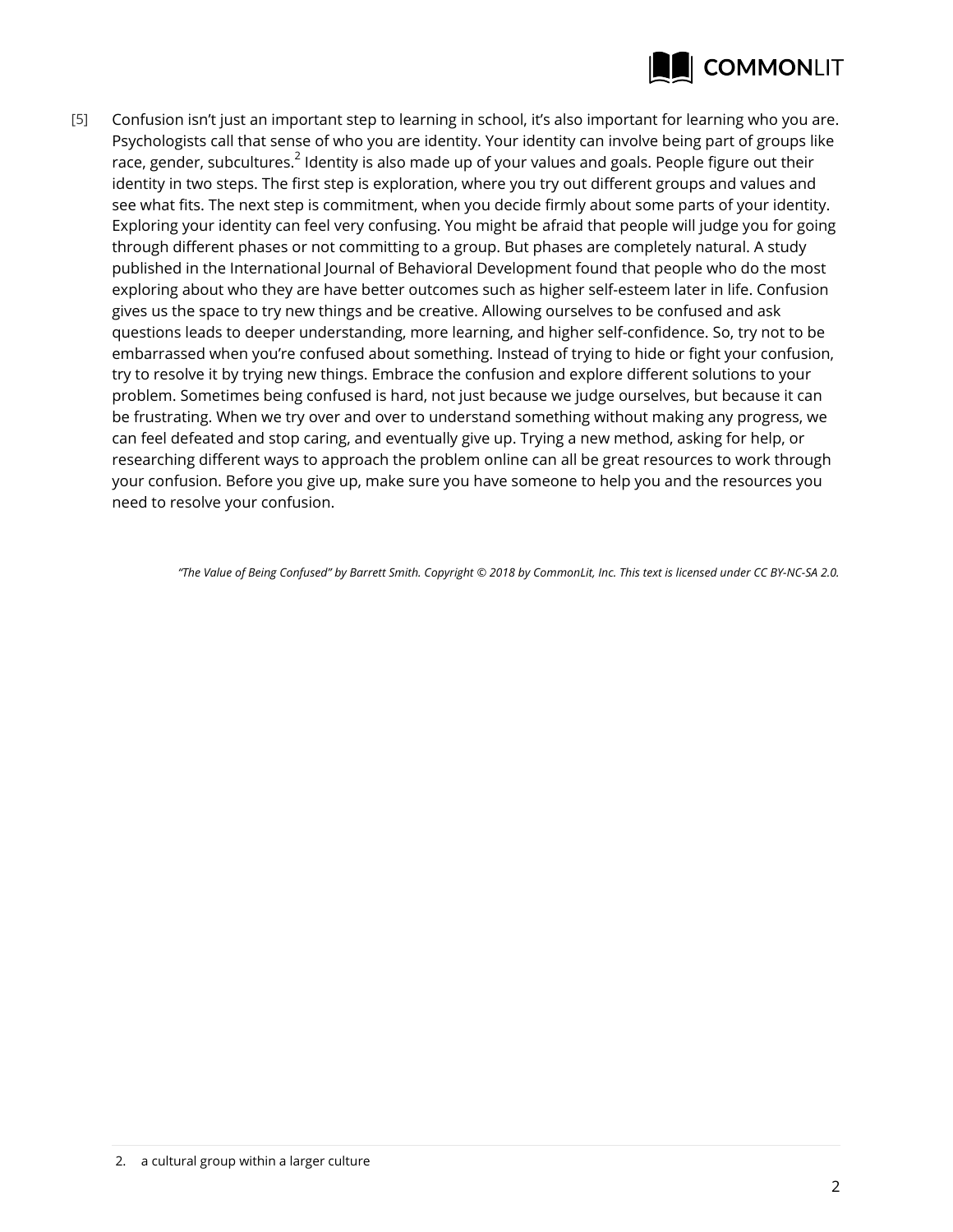

Confusion isn't just an important step to learning in school, it's also important for learning who you are. Psychologists call that sense of who you are identity. Your identity can involve being part of groups like race, gender, subcultures. $^2$  Identity is also made up of your values and goals. People figure out their identity in two steps. The first step is exploration, where you try out different groups and values and see what fits. The next step is commitment, when you decide firmly about some parts of your identity. Exploring your identity can feel very confusing. You might be afraid that people will judge you for going through different phases or not committing to a group. But phases are completely natural. A study published in the International Journal of Behavioral Development found that people who do the most exploring about who they are have better outcomes such as higher self-esteem later in life. Confusion gives us the space to try new things and be creative. Allowing ourselves to be confused and ask questions leads to deeper understanding, more learning, and higher self-confidence. So, try not to be embarrassed when you're confused about something. Instead of trying to hide or fight your confusion, try to resolve it by trying new things. Embrace the confusion and explore different solutions to your problem. Sometimes being confused is hard, not just because we judge ourselves, but because it can be frustrating. When we try over and over to understand something without making any progress, we can feel defeated and stop caring, and eventually give up. Trying a new method, asking for help, or researching different ways to approach the problem online can all be great resources to work through your confusion. Before you give up, make sure you have someone to help you and the resources you need to resolve your confusion. [5]

*"The Value of Being Confused" by Barrett Smith. Copyright © 2018 by CommonLit, Inc. This text is licensed under CC BY-NC-SA 2.0.*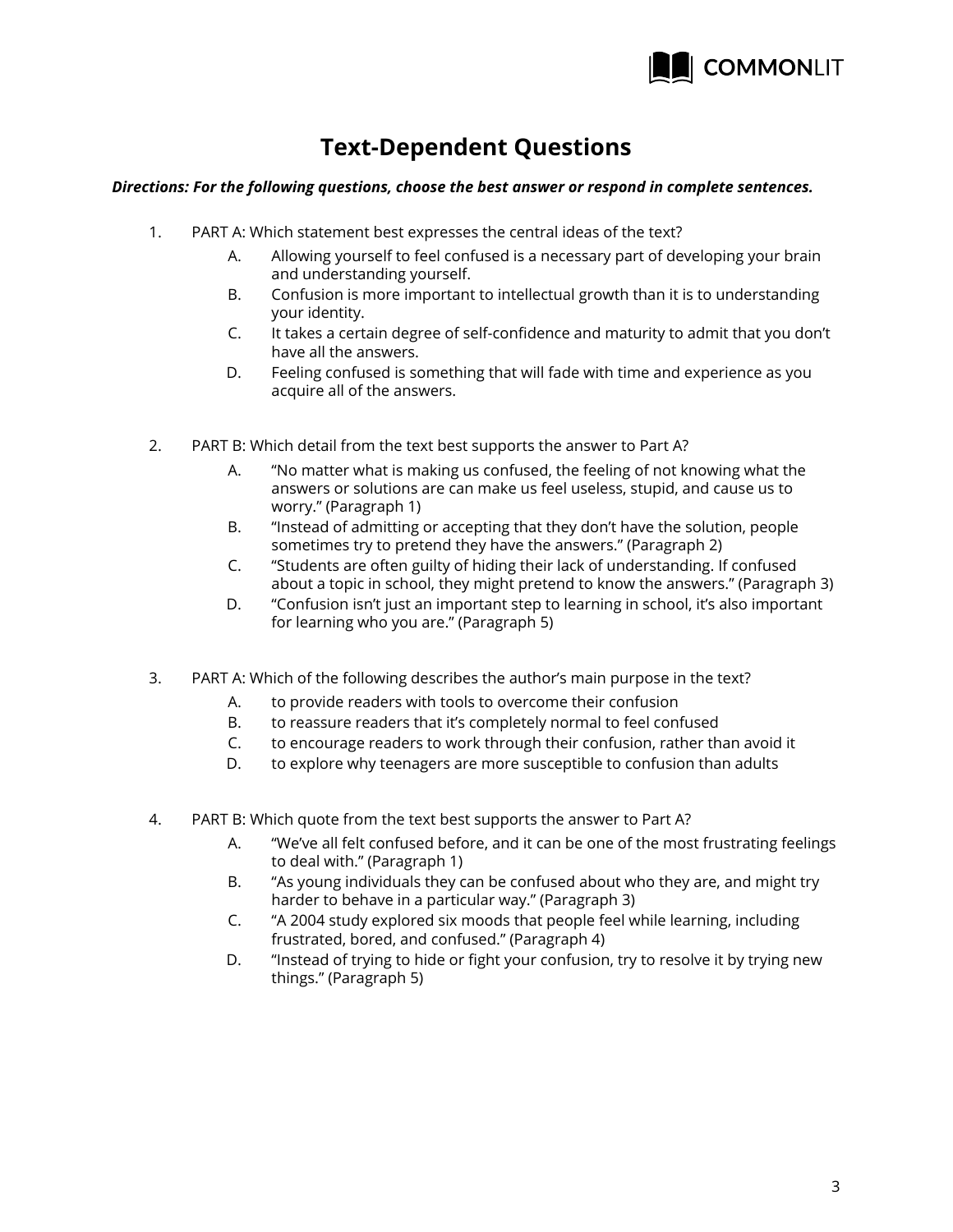

## **Text-Dependent Questions**

## *Directions: For the following questions, choose the best answer or respond in complete sentences.*

- 1. PART A: Which statement best expresses the central ideas of the text?
	- A. Allowing yourself to feel confused is a necessary part of developing your brain and understanding yourself.
	- B. Confusion is more important to intellectual growth than it is to understanding your identity.
	- C. It takes a certain degree of self-confidence and maturity to admit that you don't have all the answers.
	- D. Feeling confused is something that will fade with time and experience as you acquire all of the answers.
- 2. PART B: Which detail from the text best supports the answer to Part A?
	- A. "No matter what is making us confused, the feeling of not knowing what the answers or solutions are can make us feel useless, stupid, and cause us to worry." (Paragraph 1)
	- B. "Instead of admitting or accepting that they don't have the solution, people sometimes try to pretend they have the answers." (Paragraph 2)
	- C. "Students are often guilty of hiding their lack of understanding. If confused about a topic in school, they might pretend to know the answers." (Paragraph 3)
	- D. "Confusion isn't just an important step to learning in school, it's also important for learning who you are." (Paragraph 5)
- 3. PART A: Which of the following describes the author's main purpose in the text?
	- A. to provide readers with tools to overcome their confusion
	- B. to reassure readers that it's completely normal to feel confused
	- C. to encourage readers to work through their confusion, rather than avoid it
	- D. to explore why teenagers are more susceptible to confusion than adults
- 4. PART B: Which quote from the text best supports the answer to Part A?
	- A. "We've all felt confused before, and it can be one of the most frustrating feelings to deal with." (Paragraph 1)
	- B. "As young individuals they can be confused about who they are, and might try harder to behave in a particular way." (Paragraph 3)
	- C. "A 2004 study explored six moods that people feel while learning, including frustrated, bored, and confused." (Paragraph 4)
	- D. "Instead of trying to hide or fight your confusion, try to resolve it by trying new things." (Paragraph 5)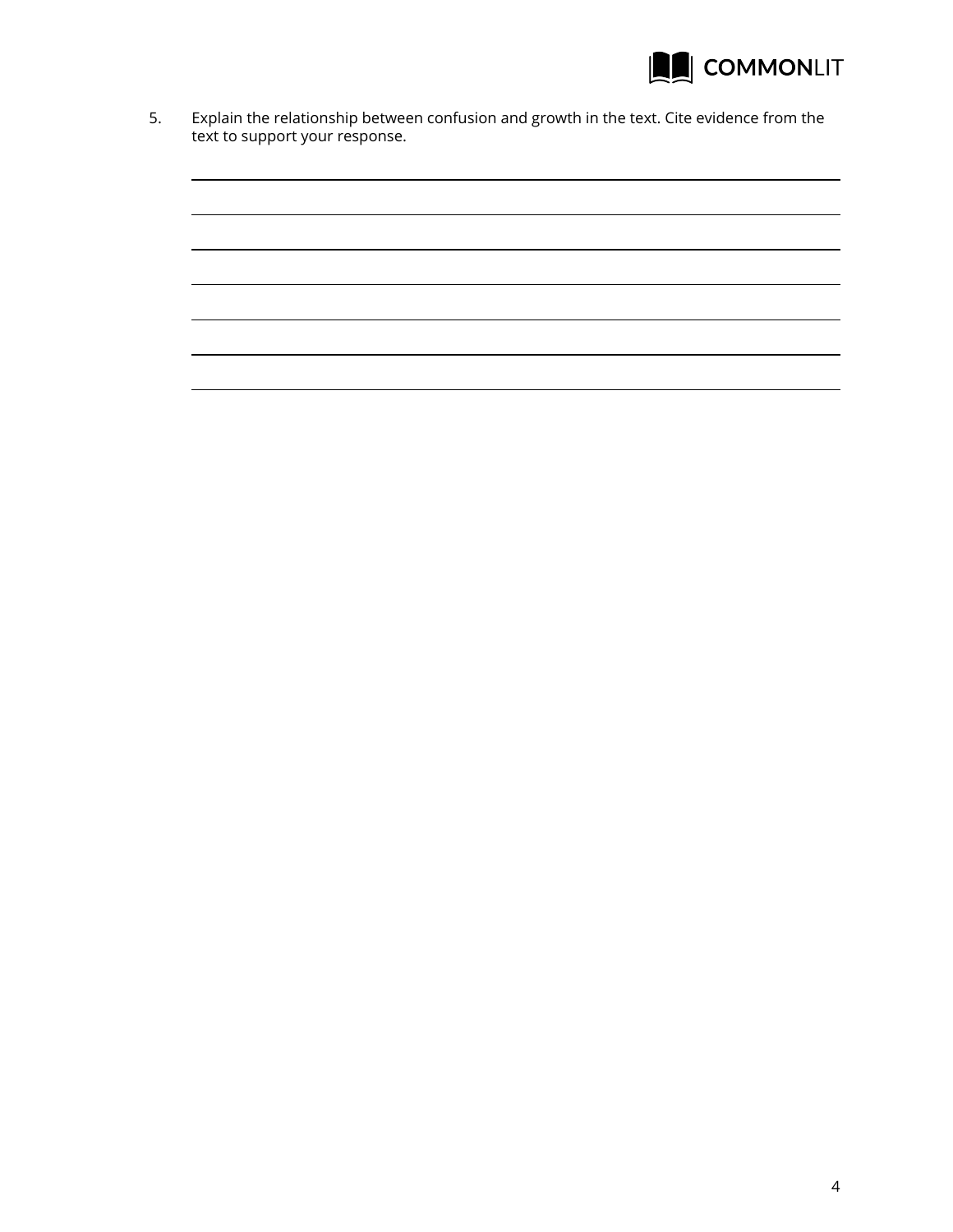

5. Explain the relationship between confusion and growth in the text. Cite evidence from the text to support your response.